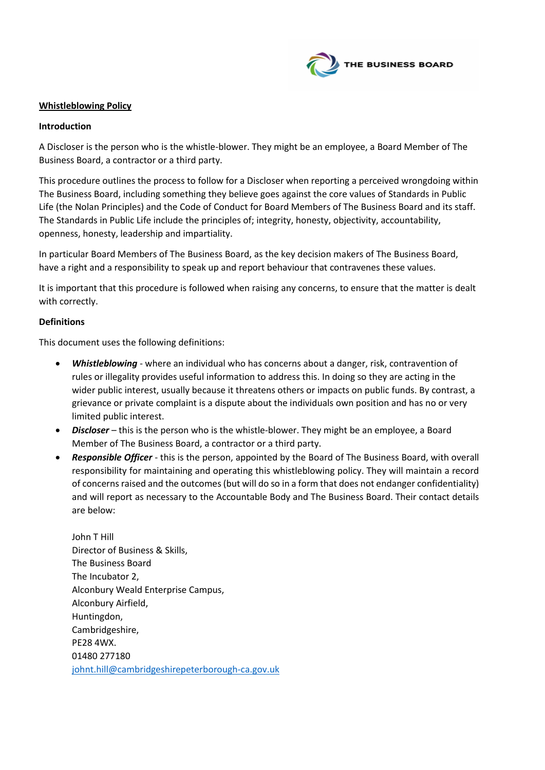

### **Whistleblowing Policy**

#### **Introduction**

A Discloser is the person who is the whistle-blower. They might be an employee, a Board Member of The Business Board, a contractor or a third party.

This procedure outlines the process to follow for a Discloser when reporting a perceived wrongdoing within The Business Board, including something they believe goes against the core values of Standards in Public Life (the Nolan Principles) and the Code of Conduct for Board Members of The Business Board and its staff. The Standards in Public Life include the principles of; integrity, honesty, objectivity, accountability, openness, honesty, leadership and impartiality.

In particular Board Members of The Business Board, as the key decision makers of The Business Board, have a right and a responsibility to speak up and report behaviour that contravenes these values.

It is important that this procedure is followed when raising any concerns, to ensure that the matter is dealt with correctly.

#### **Definitions**

This document uses the following definitions:

- *Whistleblowing* where an individual who has concerns about a danger, risk, contravention of rules or illegality provides useful information to address this. In doing so they are acting in the wider public interest, usually because it threatens others or impacts on public funds. By contrast, a grievance or private complaint is a dispute about the individuals own position and has no or very limited public interest.
- *Discloser* this is the person who is the whistle-blower. They might be an employee, a Board Member of The Business Board, a contractor or a third party.
- *Responsible Officer* this is the person, appointed by the Board of The Business Board, with overall responsibility for maintaining and operating this whistleblowing policy. They will maintain a record of concerns raised and the outcomes (but will do so in a form that does not endanger confidentiality) and will report as necessary to the Accountable Body and The Business Board. Their contact details are below:

John T Hill Director of Business & Skills, The Business Board The Incubator 2, Alconbury Weald Enterprise Campus, Alconbury Airfield, Huntingdon, Cambridgeshire, PE28 4WX. 01480 277180 [johnt.hill@cambridgeshirepeterborough-ca.gov.uk](mailto:johnt.hill@cambridgeshirepeterborough-ca.gov.uk)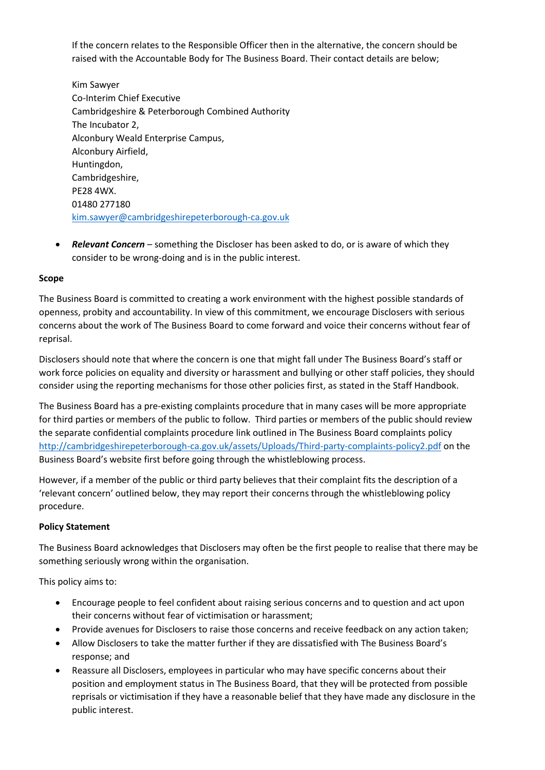If the concern relates to the Responsible Officer then in the alternative, the concern should be raised with the Accountable Body for The Business Board. Their contact details are below;

Kim Sawyer Co-Interim Chief Executive Cambridgeshire & Peterborough Combined Authority The Incubator 2, Alconbury Weald Enterprise Campus, Alconbury Airfield, Huntingdon, Cambridgeshire, PE28 4WX. 01480 277180 [kim.sawyer@cambridgeshirepeterborough-ca.gov.uk](mailto:kim.sawyer@cambridgeshirepeterborough-ca.gov.uk)

• *Relevant Concern* – something the Discloser has been asked to do, or is aware of which they consider to be wrong-doing and is in the public interest.

# **Scope**

The Business Board is committed to creating a work environment with the highest possible standards of openness, probity and accountability. In view of this commitment, we encourage Disclosers with serious concerns about the work of The Business Board to come forward and voice their concerns without fear of reprisal.

Disclosers should note that where the concern is one that might fall under The Business Board's staff or work force policies on equality and diversity or harassment and bullying or other staff policies, they should consider using the reporting mechanisms for those other policies first, as stated in the Staff Handbook.

The Business Board has a pre-existing complaints procedure that in many cases will be more appropriate for third parties or members of the public to follow. Third parties or members of the public should review the separate confidential complaints procedure link outlined in The Business Board complaints policy <http://cambridgeshirepeterborough-ca.gov.uk/assets/Uploads/Third-party-complaints-policy2.pdf> on the Business Board's website first before going through the whistleblowing process.

However, if a member of the public or third party believes that their complaint fits the description of a 'relevant concern' outlined below, they may report their concerns through the whistleblowing policy procedure.

# **Policy Statement**

The Business Board acknowledges that Disclosers may often be the first people to realise that there may be something seriously wrong within the organisation.

This policy aims to:

- Encourage people to feel confident about raising serious concerns and to question and act upon their concerns without fear of victimisation or harassment;
- Provide avenues for Disclosers to raise those concerns and receive feedback on any action taken;
- Allow Disclosers to take the matter further if they are dissatisfied with The Business Board's response; and
- Reassure all Disclosers, employees in particular who may have specific concerns about their position and employment status in The Business Board, that they will be protected from possible reprisals or victimisation if they have a reasonable belief that they have made any disclosure in the public interest.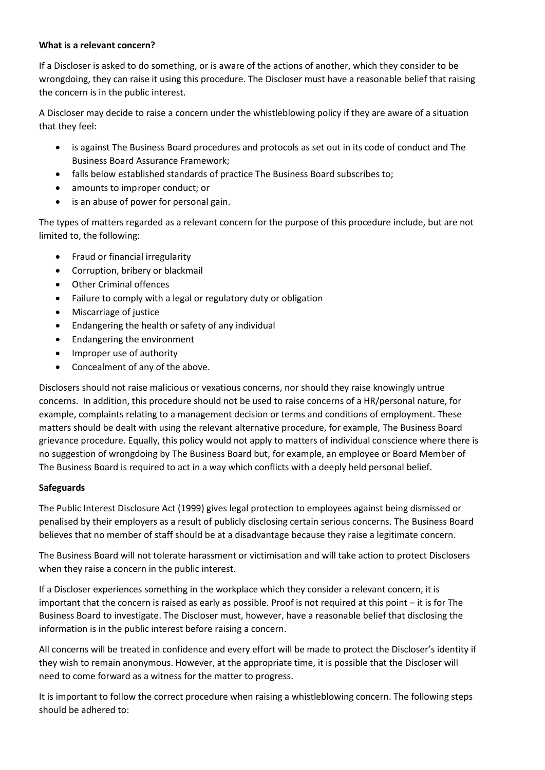### **What is a relevant concern?**

If a Discloser is asked to do something, or is aware of the actions of another, which they consider to be wrongdoing, they can raise it using this procedure. The Discloser must have a reasonable belief that raising the concern is in the public interest.

A Discloser may decide to raise a concern under the whistleblowing policy if they are aware of a situation that they feel:

- is against The Business Board procedures and protocols as set out in its code of conduct and The Business Board Assurance Framework;
- falls below established standards of practice The Business Board subscribes to;
- amounts to improper conduct; or
- is an abuse of power for personal gain.

The types of matters regarded as a relevant concern for the purpose of this procedure include, but are not limited to, the following:

- Fraud or financial irregularity
- Corruption, bribery or blackmail
- **Other Criminal offences**
- Failure to comply with a legal or regulatory duty or obligation
- Miscarriage of justice
- Endangering the health or safety of any individual
- Endangering the environment
- Improper use of authority
- Concealment of any of the above.

Disclosers should not raise malicious or vexatious concerns, nor should they raise knowingly untrue concerns. In addition, this procedure should not be used to raise concerns of a HR/personal nature, for example, complaints relating to a management decision or terms and conditions of employment. These matters should be dealt with using the relevant alternative procedure, for example, The Business Board grievance procedure. Equally, this policy would not apply to matters of individual conscience where there is no suggestion of wrongdoing by The Business Board but, for example, an employee or Board Member of The Business Board is required to act in a way which conflicts with a deeply held personal belief.

# **Safeguards**

The Public Interest Disclosure Act (1999) gives legal protection to employees against being dismissed or penalised by their employers as a result of publicly disclosing certain serious concerns. The Business Board believes that no member of staff should be at a disadvantage because they raise a legitimate concern.

The Business Board will not tolerate harassment or victimisation and will take action to protect Disclosers when they raise a concern in the public interest.

If a Discloser experiences something in the workplace which they consider a relevant concern, it is important that the concern is raised as early as possible. Proof is not required at this point – it is for The Business Board to investigate. The Discloser must, however, have a reasonable belief that disclosing the information is in the public interest before raising a concern.

All concerns will be treated in confidence and every effort will be made to protect the Discloser's identity if they wish to remain anonymous. However, at the appropriate time, it is possible that the Discloser will need to come forward as a witness for the matter to progress.

It is important to follow the correct procedure when raising a whistleblowing concern. The following steps should be adhered to: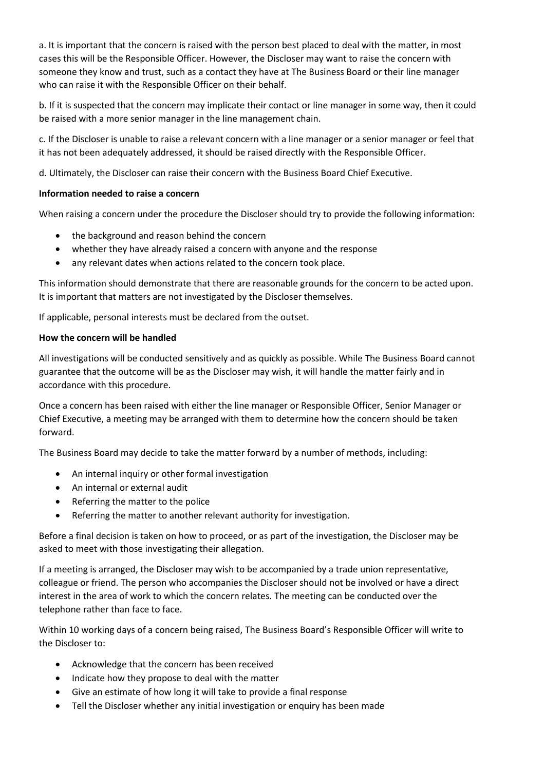a. It is important that the concern is raised with the person best placed to deal with the matter, in most cases this will be the Responsible Officer. However, the Discloser may want to raise the concern with someone they know and trust, such as a contact they have at The Business Board or their line manager who can raise it with the Responsible Officer on their behalf.

b. If it is suspected that the concern may implicate their contact or line manager in some way, then it could be raised with a more senior manager in the line management chain.

c. If the Discloser is unable to raise a relevant concern with a line manager or a senior manager or feel that it has not been adequately addressed, it should be raised directly with the Responsible Officer.

d. Ultimately, the Discloser can raise their concern with the Business Board Chief Executive.

### **Information needed to raise a concern**

When raising a concern under the procedure the Discloser should try to provide the following information:

- the background and reason behind the concern
- whether they have already raised a concern with anyone and the response
- any relevant dates when actions related to the concern took place.

This information should demonstrate that there are reasonable grounds for the concern to be acted upon. It is important that matters are not investigated by the Discloser themselves.

If applicable, personal interests must be declared from the outset.

#### **How the concern will be handled**

All investigations will be conducted sensitively and as quickly as possible. While The Business Board cannot guarantee that the outcome will be as the Discloser may wish, it will handle the matter fairly and in accordance with this procedure.

Once a concern has been raised with either the line manager or Responsible Officer, Senior Manager or Chief Executive, a meeting may be arranged with them to determine how the concern should be taken forward.

The Business Board may decide to take the matter forward by a number of methods, including:

- An internal inquiry or other formal investigation
- An internal or external audit
- Referring the matter to the police
- Referring the matter to another relevant authority for investigation.

Before a final decision is taken on how to proceed, or as part of the investigation, the Discloser may be asked to meet with those investigating their allegation.

If a meeting is arranged, the Discloser may wish to be accompanied by a trade union representative, colleague or friend. The person who accompanies the Discloser should not be involved or have a direct interest in the area of work to which the concern relates. The meeting can be conducted over the telephone rather than face to face.

Within 10 working days of a concern being raised, The Business Board's Responsible Officer will write to the Discloser to:

- Acknowledge that the concern has been received
- Indicate how they propose to deal with the matter
- Give an estimate of how long it will take to provide a final response
- Tell the Discloser whether any initial investigation or enquiry has been made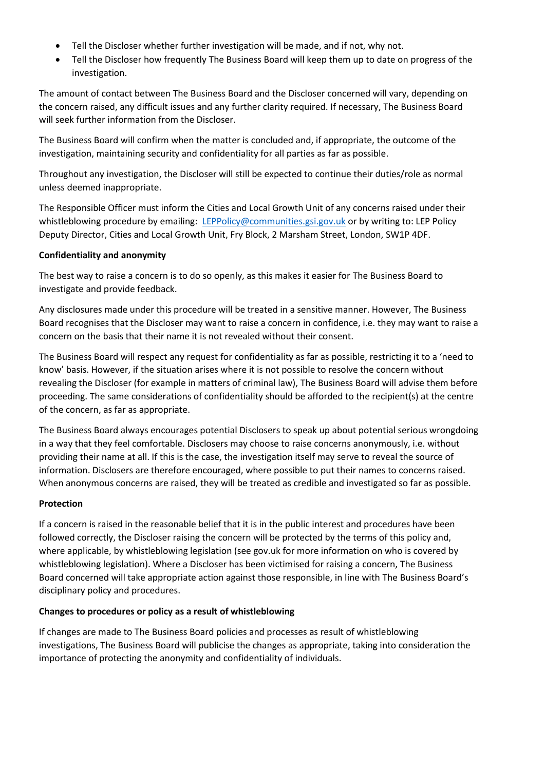- Tell the Discloser whether further investigation will be made, and if not, why not.
- Tell the Discloser how frequently The Business Board will keep them up to date on progress of the investigation.

The amount of contact between The Business Board and the Discloser concerned will vary, depending on the concern raised, any difficult issues and any further clarity required. If necessary, The Business Board will seek further information from the Discloser.

The Business Board will confirm when the matter is concluded and, if appropriate, the outcome of the investigation, maintaining security and confidentiality for all parties as far as possible.

Throughout any investigation, the Discloser will still be expected to continue their duties/role as normal unless deemed inappropriate.

The Responsible Officer must inform the Cities and Local Growth Unit of any concerns raised under their whistleblowing procedure by emailing: [LEPPolicy@communities.gsi.gov.uk](mailto:LEPPolicy@communities.gsi.gov.uk) or by writing to: LEP Policy Deputy Director, Cities and Local Growth Unit, Fry Block, 2 Marsham Street, London, SW1P 4DF.

# **Confidentiality and anonymity**

The best way to raise a concern is to do so openly, as this makes it easier for The Business Board to investigate and provide feedback.

Any disclosures made under this procedure will be treated in a sensitive manner. However, The Business Board recognises that the Discloser may want to raise a concern in confidence, i.e. they may want to raise a concern on the basis that their name it is not revealed without their consent.

The Business Board will respect any request for confidentiality as far as possible, restricting it to a 'need to know' basis. However, if the situation arises where it is not possible to resolve the concern without revealing the Discloser (for example in matters of criminal law), The Business Board will advise them before proceeding. The same considerations of confidentiality should be afforded to the recipient(s) at the centre of the concern, as far as appropriate.

The Business Board always encourages potential Disclosers to speak up about potential serious wrongdoing in a way that they feel comfortable. Disclosers may choose to raise concerns anonymously, i.e. without providing their name at all. If this is the case, the investigation itself may serve to reveal the source of information. Disclosers are therefore encouraged, where possible to put their names to concerns raised. When anonymous concerns are raised, they will be treated as credible and investigated so far as possible.

# **Protection**

If a concern is raised in the reasonable belief that it is in the public interest and procedures have been followed correctly, the Discloser raising the concern will be protected by the terms of this policy and, where applicable, by whistleblowing legislation (see gov.uk for more information on who is covered by whistleblowing legislation). Where a Discloser has been victimised for raising a concern, The Business Board concerned will take appropriate action against those responsible, in line with The Business Board's disciplinary policy and procedures.

# **Changes to procedures or policy as a result of whistleblowing**

If changes are made to The Business Board policies and processes as result of whistleblowing investigations, The Business Board will publicise the changes as appropriate, taking into consideration the importance of protecting the anonymity and confidentiality of individuals.